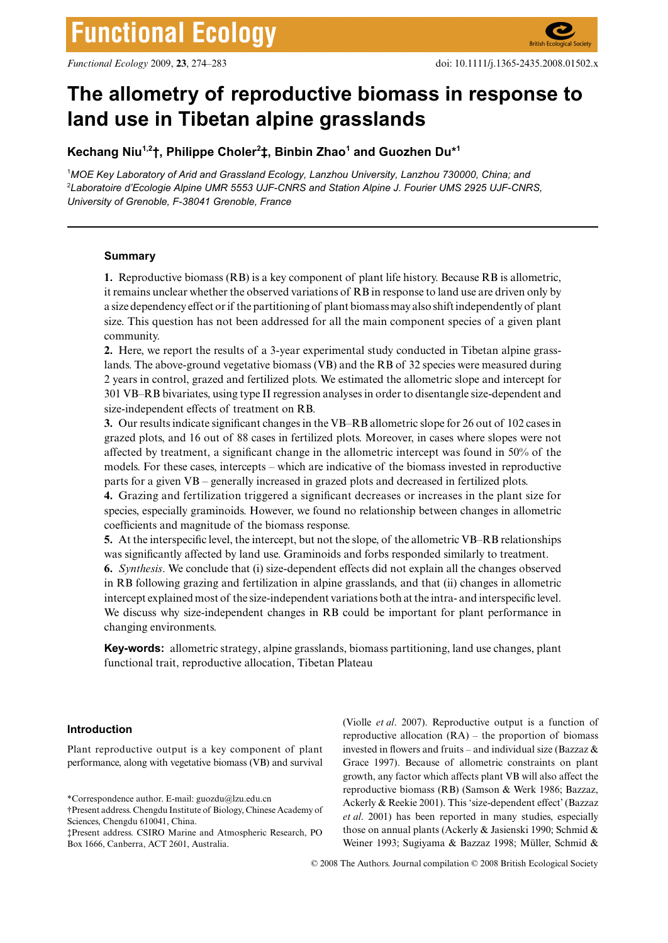# The allometry of reproductive biomass in response to **land use in Tibetan alpine grasslands**

**Kechang Niu1,2†, Philippe Choler2 ‡, Binbin Zhao1 and Guozhen Du\*1**

1 *MOE Key Laboratory of Arid and Grassland Ecology, Lanzhou University, Lanzhou 730000, China; and*  2 *Laboratoire d'Ecologie Alpine UMR 5553 UJF-CNRS and Station Alpine J. Fourier UMS 2925 UJF-CNRS, University of Grenoble, F-38041 Grenoble, France*

# **Summary**

**1.** Reproductive biomass (RB) is a key component of plant life history. Because RB is allometric, it remains unclear whether the observed variations of RB in response to land use are driven only by a size dependency effect or if the partitioning of plant biomass may also shift independently of plant size. This question has not been addressed for all the main component species of a given plant community.

**2.** Here, we report the results of a 3-year experimental study conducted in Tibetan alpine grasslands. The above-ground vegetative biomass (VB) and the RB of 32 species were measured during 2 years in control, grazed and fertilized plots. We estimated the allometric slope and intercept for 301 VB–RB bivariates, using type II regression analyses in order to disentangle size-dependent and size-independent effects of treatment on RB.

**3.** Our results indicate significant changes in the VB–RB allometric slope for 26 out of 102 cases in grazed plots, and 16 out of 88 cases in fertilized plots. Moreover, in cases where slopes were not affected by treatment, a significant change in the allometric intercept was found in 50% of the models. For these cases, intercepts – which are indicative of the biomass invested in reproductive parts for a given VB – generally increased in grazed plots and decreased in fertilized plots.

**4.** Grazing and fertilization triggered a significant decreases or increases in the plant size for species, especially graminoids. However, we found no relationship between changes in allometric coefficients and magnitude of the biomass response.

**5.** At the interspecific level, the intercept, but not the slope, of the allometric VB–RB relationships was significantly affected by land use. Graminoids and forbs responded similarly to treatment.

**6.** *Synthesis*. We conclude that (i) size-dependent effects did not explain all the changes observed in RB following grazing and fertilization in alpine grasslands, and that (ii) changes in allometric intercept explained most of the size-independent variations both at the intra- and interspecific level. We discuss why size-independent changes in RB could be important for plant performance in changing environments.

**Key-words:** allometric strategy, alpine grasslands, biomass partitioning, land use changes, plant functional trait, reproductive allocation, Tibetan Plateau

# **Introduction**

Plant reproductive output is a key component of plant performance, along with vegetative biomass (VB) and survival

(Violle *et al*. 2007). Reproductive output is a function of reproductive allocation  $(RA)$  – the proportion of biomass invested in flowers and fruits – and individual size (Bazzaz  $\&$ Grace 1997). Because of allometric constraints on plant growth, any factor which affects plant VB will also affect the reproductive biomass (RB) (Samson & Werk 1986; Bazzaz, Ackerly & Reekie 2001). This 'size-dependent effect' (Bazzaz *et al*. 2001) has been reported in many studies, especially those on annual plants (Ackerly & Jasienski 1990; Schmid & Weiner 1993; Sugiyama & Bazzaz 1998; Müller, Schmid &

© 2008 The Authors. Journal compilation © 2008 British Ecological Society

<sup>\*</sup>Correspondence author. E-mail: guozdu@lzu.edu.cn

<sup>†</sup>Present address. Chengdu Institute of Biology, Chinese Academy of Sciences, Chengdu 610041, China.

<sup>‡</sup>Present address. CSIRO Marine and Atmospheric Research, PO Box 1666, Canberra, ACT 2601, Australia.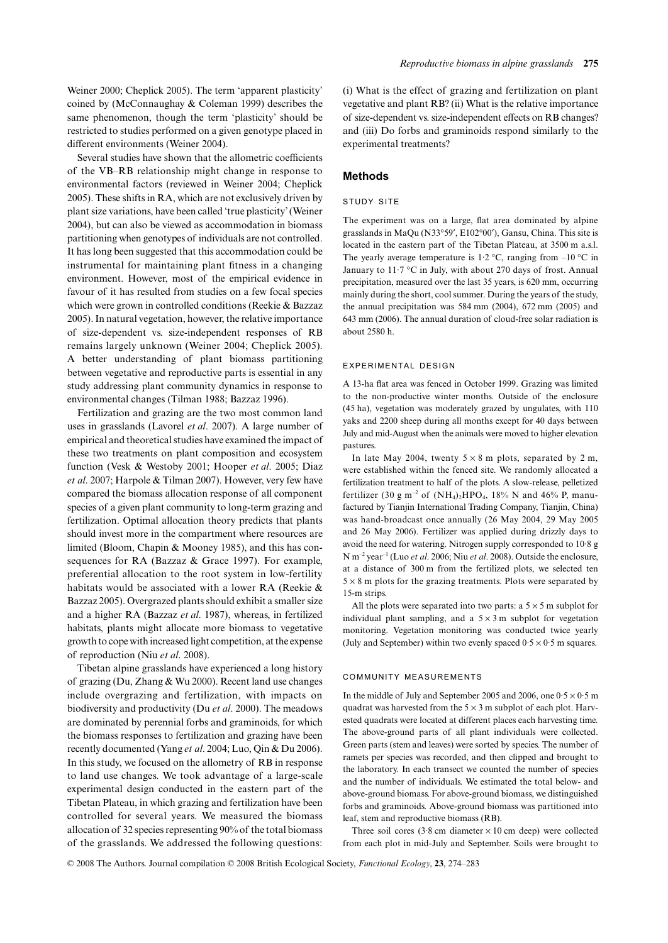Weiner 2000; Cheplick 2005). The term 'apparent plasticity' coined by (McConnaughay & Coleman 1999) describes the same phenomenon, though the term 'plasticity' should be restricted to studies performed on a given genotype placed in different environments (Weiner 2004).

Several studies have shown that the allometric coefficients of the VB–RB relationship might change in response to environmental factors (reviewed in Weiner 2004; Cheplick 2005). These shifts in RA, which are not exclusively driven by plant size variations, have been called 'true plasticity' (Weiner 2004), but can also be viewed as accommodation in biomass partitioning when genotypes of individuals are not controlled. It has long been suggested that this accommodation could be instrumental for maintaining plant fitness in a changing environment. However, most of the empirical evidence in favour of it has resulted from studies on a few focal species which were grown in controlled conditions (Reekie & Bazzaz 2005). In natural vegetation, however, the relative importance of size-dependent vs. size-independent responses of RB remains largely unknown (Weiner 2004; Cheplick 2005). A better understanding of plant biomass partitioning between vegetative and reproductive parts is essential in any study addressing plant community dynamics in response to environmental changes (Tilman 1988; Bazzaz 1996).

Fertilization and grazing are the two most common land uses in grasslands (Lavorel *et al*. 2007). A large number of empirical and theoretical studies have examined the impact of these two treatments on plant composition and ecosystem function (Vesk & Westoby 2001; Hooper *et al*. 2005; Diaz *et al*. 2007; Harpole & Tilman 2007). However, very few have compared the biomass allocation response of all component species of a given plant community to long-term grazing and fertilization. Optimal allocation theory predicts that plants should invest more in the compartment where resources are limited (Bloom, Chapin & Mooney 1985), and this has consequences for RA (Bazzaz & Grace 1997). For example, preferential allocation to the root system in low-fertility habitats would be associated with a lower RA (Reekie & Bazzaz 2005). Overgrazed plants should exhibit a smaller size and a higher RA (Bazzaz *et al*. 1987), whereas, in fertilized habitats, plants might allocate more biomass to vegetative growth to cope with increased light competition, at the expense of reproduction (Niu *et al*. 2008).

Tibetan alpine grasslands have experienced a long history of grazing (Du, Zhang & Wu 2000). Recent land use changes include overgrazing and fertilization, with impacts on biodiversity and productivity (Du *et al*. 2000). The meadows are dominated by perennial forbs and graminoids, for which the biomass responses to fertilization and grazing have been recently documented (Yang *et al*. 2004; Luo, Qin & Du 2006). In this study, we focused on the allometry of RB in response to land use changes. We took advantage of a large-scale experimental design conducted in the eastern part of the Tibetan Plateau, in which grazing and fertilization have been controlled for several years. We measured the biomass allocation of 32 species representing 90% of the total biomass of the grasslands. We addressed the following questions:

(i) What is the effect of grazing and fertilization on plant vegetative and plant RB? (ii) What is the relative importance of size-dependent vs. size-independent effects on RB changes? and (iii) Do forbs and graminoids respond similarly to the experimental treatments?

## **Methods**

# STUDY SITE

The experiment was on a large, flat area dominated by alpine grasslands in MaQu (N33°59′, E102°00′), Gansu, China. This site is located in the eastern part of the Tibetan Plateau, at 3500 m a.s.l. The yearly average temperature is 1.2 °C, ranging from  $-10$  °C in January to  $11.7 \text{ °C}$  in July, with about 270 days of frost. Annual precipitation, measured over the last 35 years, is 620 mm, occurring mainly during the short, cool summer. During the years of the study, the annual precipitation was 584 mm (2004), 672 mm (2005) and 643 mm (2006). The annual duration of cloud-free solar radiation is about 2580 h.

## EXPERIMENTAL DESIGN

A 13-ha flat area was fenced in October 1999. Grazing was limited to the non-productive winter months. Outside of the enclosure (45 ha), vegetation was moderately grazed by ungulates, with 110 yaks and 2200 sheep during all months except for 40 days between July and mid-August when the animals were moved to higher elevation pastures.

In late May 2004, twenty  $5 \times 8$  m plots, separated by 2 m, were established within the fenced site. We randomly allocated a fertilization treatment to half of the plots. A slow-release, pelletized fertilizer (30 g m<sup>-2</sup> of (NH<sub>4</sub>)<sub>2</sub>HPO<sub>4</sub>, 18% N and 46% P, manufactured by Tianjin International Trading Company, Tianjin, China) was hand-broadcast once annually (26 May 2004, 29 May 2005 and 26 May 2006). Fertilizer was applied during drizzly days to avoid the need for watering. Nitrogen supply corresponded to 10·8 g N m–2 year–1 (Luo *et al*. 2006; Niu *et al*. 2008). Outside the enclosure, at a distance of 300 m from the fertilized plots, we selected ten  $5 \times 8$  m plots for the grazing treatments. Plots were separated by 15-m strips.

All the plots were separated into two parts: a  $5 \times 5$  m subplot for individual plant sampling, and a  $5 \times 3$  m subplot for vegetation monitoring. Vegetation monitoring was conducted twice yearly (July and September) within two evenly spaced  $0.5 \times 0.5$  m squares.

## COMMUNITY MEASUREMENTS

In the middle of July and September 2005 and 2006, one  $0.5 \times 0.5$  m quadrat was harvested from the  $5 \times 3$  m subplot of each plot. Harvested quadrats were located at different places each harvesting time. The above-ground parts of all plant individuals were collected. Green parts (stem and leaves) were sorted by species. The number of ramets per species was recorded, and then clipped and brought to the laboratory. In each transect we counted the number of species and the number of individuals. We estimated the total below- and above-ground biomass. For above-ground biomass, we distinguished forbs and graminoids. Above-ground biomass was partitioned into leaf, stem and reproductive biomass (RB).

Three soil cores  $(3.8 \text{ cm diameter} \times 10 \text{ cm deep})$  were collected from each plot in mid-July and September. Soils were brought to

© 2008 The Authors. Journal compilation © 2008 British Ecological Society, *Functional Ecology*, **23**, 274–283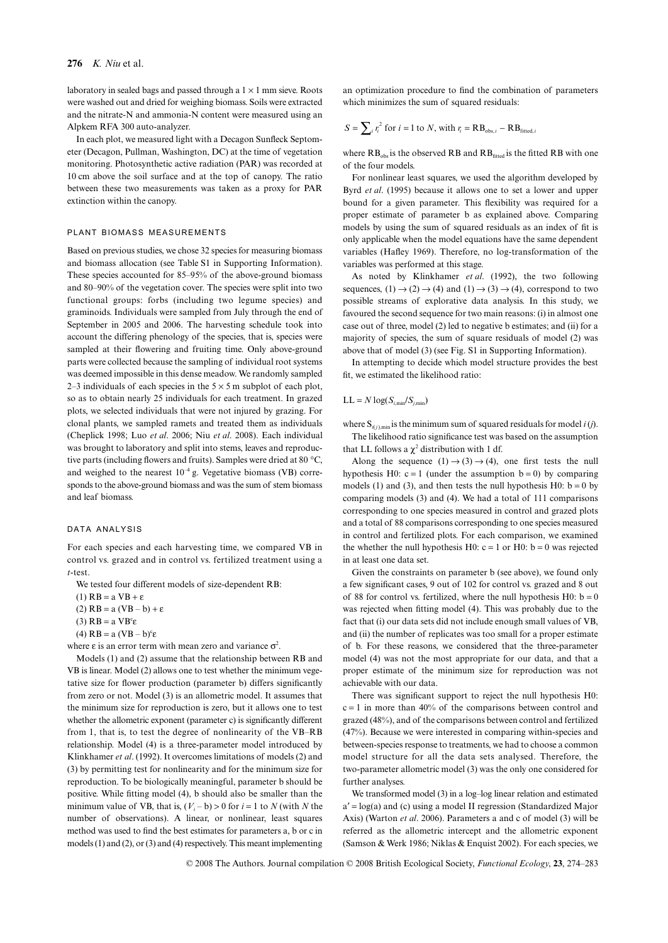#### **276** *K. Niu* et al.

laboratory in sealed bags and passed through a  $1 \times 1$  mm sieve. Roots were washed out and dried for weighing biomass. Soils were extracted and the nitrate-N and ammonia-N content were measured using an Alpkem RFA 300 auto-analyzer.

In each plot, we measured light with a Decagon Sunfleck Septometer (Decagon, Pullman, Washington, DC) at the time of vegetation monitoring. Photosynthetic active radiation (PAR) was recorded at 10 cm above the soil surface and at the top of canopy. The ratio between these two measurements was taken as a proxy for PAR extinction within the canopy.

## PLANT BIOMASS MEASUREMENTS

Based on previous studies, we chose 32 species for measuring biomass and biomass allocation (see Table S1 in Supporting Information). These species accounted for 85–95% of the above-ground biomass and 80–90% of the vegetation cover. The species were split into two functional groups: forbs (including two legume species) and graminoids. Individuals were sampled from July through the end of September in 2005 and 2006. The harvesting schedule took into account the differing phenology of the species, that is, species were sampled at their flowering and fruiting time. Only above-ground parts were collected because the sampling of individual root systems was deemed impossible in this dense meadow. We randomly sampled 2–3 individuals of each species in the  $5 \times 5$  m subplot of each plot, so as to obtain nearly 25 individuals for each treatment. In grazed plots, we selected individuals that were not injured by grazing. For clonal plants, we sampled ramets and treated them as individuals (Cheplick 1998; Luo *et al*. 2006; Niu *et al*. 2008). Each individual was brought to laboratory and split into stems, leaves and reproductive parts (including flowers and fruits). Samples were dried at 80 °C, and weighed to the nearest  $10^{-4}$  g. Vegetative biomass (VB) corresponds to the above-ground biomass and was the sum of stem biomass and leaf biomass.

# DATA ANALYSIS

For each species and each harvesting time, we compared VB in control vs. grazed and in control vs. fertilized treatment using a *t*-test.

We tested four different models of size-dependent RB:

(1)  $RB = a VB + \varepsilon$ (2)  $RB = a (VB - b) + \varepsilon$ (3)  $RB = a VB<sup>c</sup>ε$ 

(4) RB = a  $(VB - b)^c ε$ 

where  $\varepsilon$  is an error term with mean zero and variance  $\sigma^2$ .

Models (1) and (2) assume that the relationship between RB and VB is linear. Model (2) allows one to test whether the minimum vegetative size for flower production (parameter b) differs significantly from zero or not. Model (3) is an allometric model. It assumes that the minimum size for reproduction is zero, but it allows one to test whether the allometric exponent (parameter c) is significantly different from 1, that is, to test the degree of nonlinearity of the VB–RB relationship. Model (4) is a three-parameter model introduced by Klinkhamer *et al*. (1992). It overcomes limitations of models (2) and (3) by permitting test for nonlinearity and for the minimum size for reproduction. To be biologically meaningful, parameter b should be positive. While fitting model (4), b should also be smaller than the minimum value of VB, that is,  $(V_i - b) > 0$  for  $i = 1$  to *N* (with *N* the number of observations). A linear, or nonlinear, least squares method was used to find the best estimates for parameters a, b or c in models (1) and (2), or (3) and (4) respectively. This meant implementing

an optimization procedure to find the combination of parameters which minimizes the sum of squared residuals:

$$
S = \sum_{i} r_i^2
$$
 for  $i = 1$  to N, with  $r_i = RB_{obs,i} - RB_{fitted,i}$ 

where  $RB<sub>obs</sub>$  is the observed RB and  $RB<sub>fitted</sub>$  is the fitted RB with one of the four models.

For nonlinear least squares, we used the algorithm developed by Byrd *et al*. (1995) because it allows one to set a lower and upper bound for a given parameter. This flexibility was required for a proper estimate of parameter b as explained above. Comparing models by using the sum of squared residuals as an index of fit is only applicable when the model equations have the same dependent variables (Hafley 1969). Therefore, no log-transformation of the variables was performed at this stage.

As noted by Klinkhamer *et al*. (1992), the two following sequences,  $(1) \rightarrow (2) \rightarrow (4)$  and  $(1) \rightarrow (3) \rightarrow (4)$ , correspond to two possible streams of explorative data analysis. In this study, we favoured the second sequence for two main reasons: (i) in almost one case out of three, model (2) led to negative b estimates; and (ii) for a majority of species, the sum of square residuals of model (2) was above that of model (3) (see Fig. S1 in Supporting Information).

In attempting to decide which model structure provides the best fit, we estimated the likelihood ratio:

## $LL = N \log(S_{i,min}/S_{i,min})$

where  $S_{ii/1,min}$  is the minimum sum of squared residuals for model *i* (*j*).

The likelihood ratio significance test was based on the assumption that LL follows a  $\chi^2$  distribution with 1 df.

Along the sequence  $(1) \rightarrow (3) \rightarrow (4)$ , one first tests the null hypothesis H0:  $c = 1$  (under the assumption  $b = 0$ ) by comparing models (1) and (3), and then tests the null hypothesis H0:  $b = 0$  by comparing models (3) and (4). We had a total of 111 comparisons corresponding to one species measured in control and grazed plots and a total of 88 comparisons corresponding to one species measured in control and fertilized plots. For each comparison, we examined the whether the null hypothesis H0:  $c = 1$  or H0:  $b = 0$  was rejected in at least one data set.

Given the constraints on parameter b (see above), we found only a few significant cases, 9 out of 102 for control vs. grazed and 8 out of 88 for control vs. fertilized, where the null hypothesis H0:  $b = 0$ was rejected when fitting model (4). This was probably due to the fact that (i) our data sets did not include enough small values of VB, and (ii) the number of replicates was too small for a proper estimate of b. For these reasons, we considered that the three-parameter model (4) was not the most appropriate for our data, and that a proper estimate of the minimum size for reproduction was not achievable with our data.

There was significant support to reject the null hypothesis H0:  $c = 1$  in more than 40% of the comparisons between control and grazed (48%), and of the comparisons between control and fertilized (47%). Because we were interested in comparing within-species and between-species response to treatments, we had to choose a common model structure for all the data sets analysed. Therefore, the two-parameter allometric model (3) was the only one considered for further analyses.

We transformed model (3) in a log–log linear relation and estimated  $a' = log(a)$  and (c) using a model II regression (Standardized Major Axis) (Warton *et al*. 2006). Parameters a and c of model (3) will be referred as the allometric intercept and the allometric exponent (Samson & Werk 1986; Niklas & Enquist 2002). For each species, we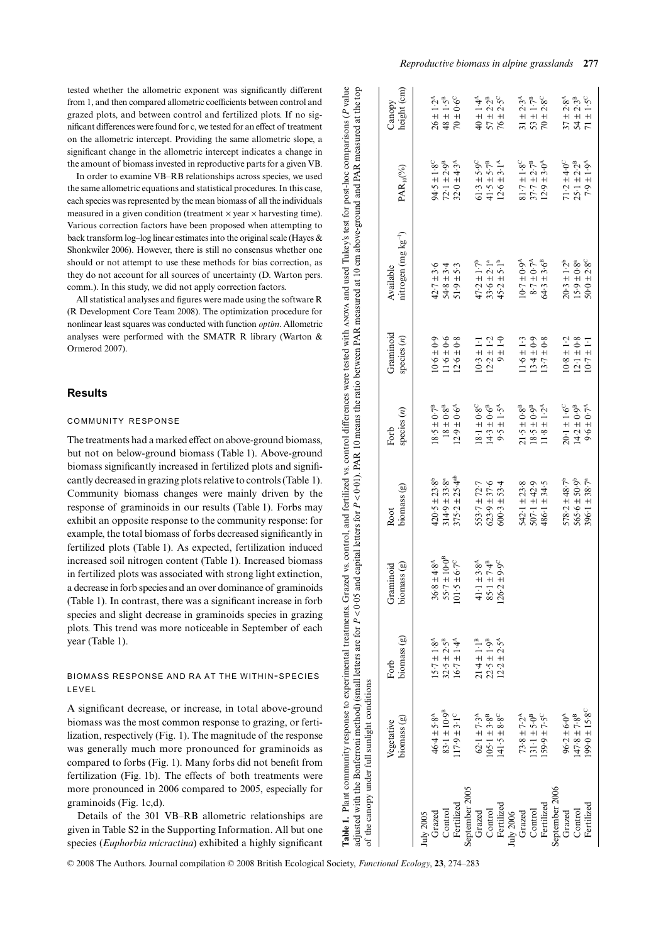tested whether the allometric exponent was significantly different from 1, and then compared allometric coefficients between control and grazed plots, and between control and fertilized plots. If no significant differences were found for c, we tested for an effect of treatment on the allometric intercept. Providing the same allometric slope, a significant change in the allometric intercept indicates a change in the amount of biomass invested in reproductive parts for a given VB.

In order to examine VB–RB relationships across species, we used the same allometric equations and statistical procedures. In this case, each species was represented by the mean biomass of all the individuals measured in a given condition (treatment  $\times$  year  $\times$  harvesting time). Various correction factors have been proposed when attempting to back transform log–log linear estimates into the original scale (Hayes & Shonkwiler 2006). However, there is still no consensus whether one should or not attempt to use these methods for bias correction, as they do not account for all sources of uncertainty (D. Warton pers. comm.). In this study, we did not apply correction factors.

All statistical analyses and figures were made using the software R (R Development Core Team 2008). The optimization procedure for nonlinear least squares was conducted with function *optim*. Allometric analyses were performed with the SMATR R library (Warton & Ormerod 2007).

# **Results**

## COMMUNITY RESPONSE

The treatments had a marked effect on above-ground biomass, but not on below-ground biomass (Table 1). Above-ground biomass significantly increased in fertilized plots and significantly decreased in grazing plots relative to controls (Table 1). Community biomass changes were mainly driven by the response of graminoids in our results (Table 1). Forbs may exhibit an opposite response to the community response: for example, the total biomass of forbs decreased significantly in fertilized plots (Table 1). As expected, fertilization induced increased soil nitrogen content (Table 1). Increased biomass in fertilized plots was associated with strong light extinction, a decrease in forb species and an over dominance of graminoids (Table 1). In contrast, there was a significant increase in forb species and slight decrease in graminoids species in grazing plots. This trend was more noticeable in September of each year (Table 1).

# BIOMASS RESPONSE AND RA AT THE WITHIN-SPECIES LEVEL

A significant decrease, or increase, in total above-ground biomass was the most common response to grazing, or fertilization, respectively (Fig. 1). The magnitude of the response was generally much more pronounced for graminoids as compared to forbs (Fig. 1). Many forbs did not benefit from fertilization (Fig. 1b). The effects of both treatments were more pronounced in 2006 compared to 2005, especially for graminoids (Fig. 1c,d).

Details of the 301 VB–RB allometric relationships are given in Table S2 in the Supporting Information. All but one species (*Euphorbia micractina*) exhibited a highly significant

|                | of the canopy under full sunlight conditions |                                                                |                                |                               |                                           |                            | Table 1. Plant community response to experimental treatments. Grazed vs. control, and fertilized vs. control differences were tested with ANOVA and used Tukey's test for post-hoc comparisons (P value<br>adjusted with the Bonferroni method) (small letters are for P < 0.05 and capital letters for P < 0.01). PAR 10 means the ratio between PAR measured at 10 cm above-ground and PAR measured at the top |                                 |                         |
|----------------|----------------------------------------------|----------------------------------------------------------------|--------------------------------|-------------------------------|-------------------------------------------|----------------------------|------------------------------------------------------------------------------------------------------------------------------------------------------------------------------------------------------------------------------------------------------------------------------------------------------------------------------------------------------------------------------------------------------------------|---------------------------------|-------------------------|
|                | biomass (g)<br>Vegetative                    | biomass (g)<br>Forb                                            | Graminoid<br>$binom{as(g)}{g}$ | $binom{as}{g}$<br>Root        | species $(n)$<br>Forb                     | Graminoid<br>species $(n)$ | nitrogen $(mg kg^{-1})$<br>Available                                                                                                                                                                                                                                                                                                                                                                             | $\text{PAR}_{10}(\%)$           | height (cm)<br>Canopy   |
| July 2005      |                                              |                                                                |                                |                               |                                           |                            |                                                                                                                                                                                                                                                                                                                                                                                                                  |                                 |                         |
| Grazed         | $46.4 \pm 5.8^{A}$                           | $15.7 \pm 1.8^{\rm A}$                                         | $36.8 \pm 4.8^{\rm A}$         | $420.5 \pm 23.8$ <sup>b</sup> | $18.5\pm0.7^{\rm B}$                      | $10.6 \pm 0.9$             | $42.7 \pm 3.6$                                                                                                                                                                                                                                                                                                                                                                                                   | $94.5 \pm 1.8^{\circ}$          | $26 \pm 1.2^{\rm A}$    |
| Control        | $83.1 \pm 10.9^B$                            | $32.5 \pm 2.5^{\circ}$                                         | $55.7 \pm 10.0^8$              | $314.9 \pm 33.8^a$            | $18\pm0.8^{\rm B}$                        | $11.6 \pm 0.6$             | $54.8 \pm 3.4$                                                                                                                                                                                                                                                                                                                                                                                                   | $72.1 \pm 2.9^{B}$              | $48 \pm 1.5^{\rm B}$    |
| Fertilized     | $17.9 \pm 3.1^{\circ}$                       | $16.7 \pm 1.4^{\circ}$                                         | $\pm 6.7^{\circ}$<br>101.5     | $375.2 \pm 25.4^{ab}$         | $12.9 \pm 0.6^A$                          | $12.6 \pm 0.8$             | $51.9 \pm 5.3$                                                                                                                                                                                                                                                                                                                                                                                                   | $32.0 \pm 4.3^{\circ}$          | $70\pm0.6^{\circ}$      |
| September 2005 |                                              |                                                                |                                |                               |                                           |                            |                                                                                                                                                                                                                                                                                                                                                                                                                  |                                 |                         |
| Grazed         | $62.1 \pm 7.3^{\rm A}$                       |                                                                | $41.1 \pm 3.8^{\rm A}$         | $553.7 \pm 72.7$              | $8.1 \pm 0.8^{\circ}$                     | $10.3 \pm 1.1$             | $47.2 \pm 1.7^b$                                                                                                                                                                                                                                                                                                                                                                                                 | $61.3 \pm 5.9^{\circ}$          | $40 \pm 1.4^{\text{A}}$ |
| Control        | $105.1 \pm 3.8^{B}$                          | $21.4 \pm 1.1^{B}$<br>$22.5 \pm 1.9^{B}$<br>$12.2 \pm 2.5^{A}$ | $85.1 \pm 7.4^{\text{B}}$      | $623.9 \pm 37.6$              | $14.3 \pm 0.6^{B}$                        | $12.2 \pm 1.2$             | $33.6 \pm 2.1^a$                                                                                                                                                                                                                                                                                                                                                                                                 | $41.5 \pm 5.7^{\text{B}}$       | $57 \pm 2.2^{\text{B}}$ |
| Fertilized     | $41.5 \pm 8.8$ <sup>C</sup>                  |                                                                | $\pm$ 9.9°<br>126.2            | $600.3 \pm 53.4$              | $9.5 \pm 1.5^A$                           | $9 + 1.0$                  | $45.2 \pm 5.1^b$                                                                                                                                                                                                                                                                                                                                                                                                 | $12.6 \pm 3.1^{\rm A}$          | $76 \pm 2.5^{\circ}$    |
| July 2006      |                                              |                                                                |                                |                               |                                           |                            |                                                                                                                                                                                                                                                                                                                                                                                                                  |                                 |                         |
| Grazed         | $73.8 \pm 7.2^{A}$                           |                                                                |                                | $542.1 \pm 23.8$              | $21\!\cdot\!5\pm0\!\cdot\!8^{\mathrm{B}}$ | $1.6 \pm 1.3$              | $10.7 \pm 0.9^{\circ}$                                                                                                                                                                                                                                                                                                                                                                                           | $81.7 \pm 1.8^{\circ}$          | $31 \pm 2.3^{\rm A}$    |
| Control        | $131 \cdot 1 \pm 5 \cdot 0^B$                |                                                                |                                | $507 - 1 \pm 42.9$            | $18.5 \pm 0.9^{\text{B}}$                 | $13.4 \pm 0.9$             | $8.7\pm0.7^{\circ}$                                                                                                                                                                                                                                                                                                                                                                                              | $37\cdot 7\pm 2\cdot 7^{\rm B}$ | $53\pm1\cdot7^{\rm B}$  |
| Fertilized     | $59.9 \pm 7.5^{\circ}$                       |                                                                |                                | $486.1 \pm 34.5$              | $11.8 \pm 1.2^A$                          | $13.7 \pm 0.8$             | $64.3 \pm 3.6^{B}$                                                                                                                                                                                                                                                                                                                                                                                               | $12.9 \pm 3.0^{A}$              | $70 \pm 2.8^{\circ}$    |
| September 2006 |                                              |                                                                |                                |                               |                                           |                            |                                                                                                                                                                                                                                                                                                                                                                                                                  |                                 |                         |
| Grazed         | $96.2 \pm 6.0^4$                             |                                                                |                                | $578.2 \pm 48.7^b$            | $20.1 \pm 1.6^{\circ}$                    | $10.8 \pm 1.2$             | $20.3 \pm 1.2^b$                                                                                                                                                                                                                                                                                                                                                                                                 | $71.2 \pm 4.0^{\circ}$          | $37\pm2.8^{\mathrm{A}}$ |
| Control        | $147.8 \pm 7.8$ <sup>B</sup>                 |                                                                |                                | $565.6 \pm 50.9^{\circ}$      | $14.2\pm0.9^{\rm B}$                      | $12.1 \pm 0.8$             | $15.9 \pm 0.8$ <sup>a</sup>                                                                                                                                                                                                                                                                                                                                                                                      | $25.1\pm2.2^{\text{B}}$         | $54\pm2.3^{\rm B}$      |
| Fertilized     | $199.0 \pm 15.8^{\circ}$                     |                                                                |                                | $396.1 \pm 38.7^{\circ}$      | $9.6\pm0.7^{\rm A}$                       | $10.7 \pm 1.1$             | $50\!\cdot\!0\pm2\!\cdot\!8^{\circ}$                                                                                                                                                                                                                                                                                                                                                                             | $7.9 \pm 1.9^{\rm A}$           | $71 \pm 1.5^{\circ}$    |
|                |                                              |                                                                |                                |                               |                                           |                            |                                                                                                                                                                                                                                                                                                                                                                                                                  |                                 |                         |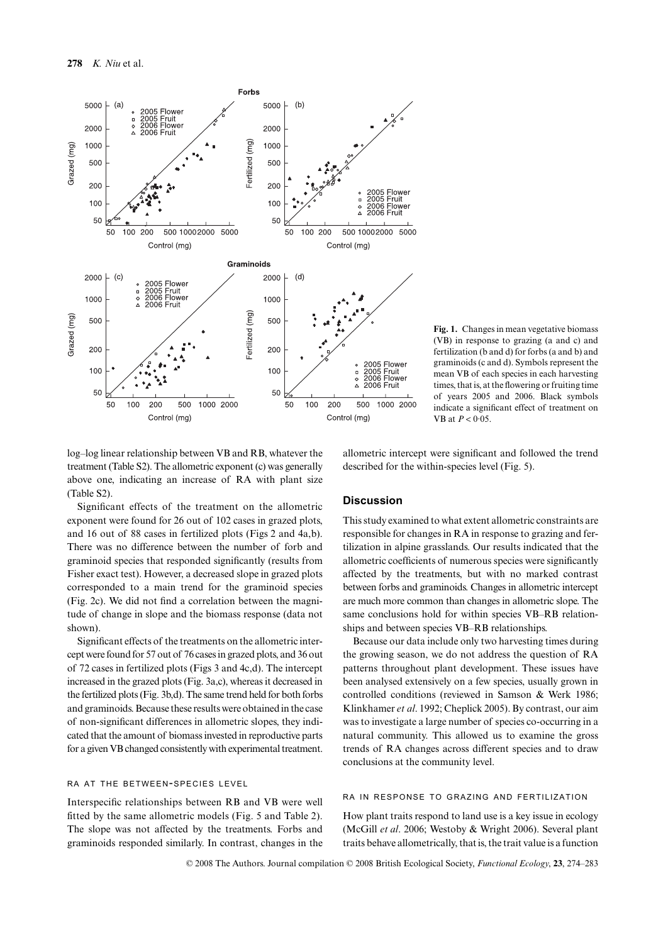

**Fig. 1.** Changes in mean vegetative biomass (VB) in response to grazing (a and c) and fertilization (b and d) for forbs (a and b) and graminoids (c and d). Symbols represent the mean VB of each species in each harvesting times, that is, at the flowering or fruiting time of years 2005 and 2006. Black symbols indicate a significant effect of treatment on VB at *P* < 0·05.

log–log linear relationship between VB and RB, whatever the treatment (Table S2). The allometric exponent (c) was generally above one, indicating an increase of RA with plant size (Table S2).

Significant effects of the treatment on the allometric exponent were found for 26 out of 102 cases in grazed plots, and 16 out of 88 cases in fertilized plots (Figs 2 and 4a,b). There was no difference between the number of forb and graminoid species that responded significantly (results from Fisher exact test). However, a decreased slope in grazed plots corresponded to a main trend for the graminoid species (Fig. 2c). We did not find a correlation between the magnitude of change in slope and the biomass response (data not shown).

Significant effects of the treatments on the allometric intercept were found for 57 out of 76 cases in grazed plots, and 36 out of 72 cases in fertilized plots (Figs 3 and 4c,d). The intercept increased in the grazed plots (Fig. 3a,c), whereas it decreased in the fertilized plots (Fig. 3b,d). The same trend held for both forbs and graminoids. Because these results were obtained in the case of non-significant differences in allometric slopes, they indicated that the amount of biomass invested in reproductive parts for a given VB changed consistently with experimental treatment.

## RA AT THE BETWEEN-SPECIES LEVEL

Interspecific relationships between RB and VB were well fitted by the same allometric models (Fig. 5 and Table 2). The slope was not affected by the treatments. Forbs and graminoids responded similarly. In contrast, changes in the

allometric intercept were significant and followed the trend described for the within-species level (Fig. 5).

# **Discussion**

This study examined to what extent allometric constraints are responsible for changes in RA in response to grazing and fertilization in alpine grasslands. Our results indicated that the allometric coefficients of numerous species were significantly affected by the treatments, but with no marked contrast between forbs and graminoids. Changes in allometric intercept are much more common than changes in allometric slope. The same conclusions hold for within species VB–RB relationships and between species VB–RB relationships.

Because our data include only two harvesting times during the growing season, we do not address the question of RA patterns throughout plant development. These issues have been analysed extensively on a few species, usually grown in controlled conditions (reviewed in Samson & Werk 1986; Klinkhamer *et al*. 1992; Cheplick 2005). By contrast, our aim was to investigate a large number of species co-occurring in a natural community. This allowed us to examine the gross trends of RA changes across different species and to draw conclusions at the community level.

# RA IN RESPONSE TO GRAZING AND FERTILIZATION

How plant traits respond to land use is a key issue in ecology (McGill *et al*. 2006; Westoby & Wright 2006). Several plant traits behave allometrically, that is, the trait value is a function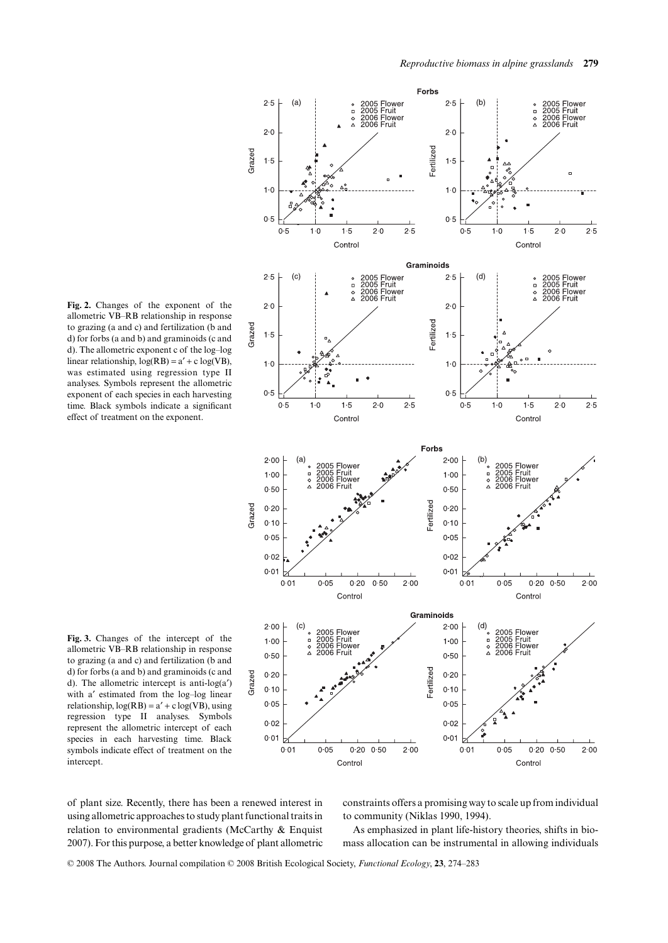**Fig. 2.** Changes of the exponent of the allometric VB–RB relationship in response to grazing (a and c) and fertilization (b and d) for forbs (a and b) and graminoids (c and d). The allometric exponent c of the log–log linear relationship,  $log(RB) = a' + c log(VB)$ , was estimated using regression type II analyses. Symbols represent the allometric exponent of each species in each harvesting time. Black symbols indicate a significant effect of treatment on the exponent.



Forbs

**Fig. 3.** Changes of the intercept of the allometric VB–RB relationship in response to grazing (a and c) and fertilization (b and d) for forbs (a and b) and graminoids (c and d). The allometric intercept is anti-log( $a'$ ) with a′ estimated from the log–log linear relationship,  $log(RB) = a' + c log(VB)$ , using regression type II analyses. Symbols represent the allometric intercept of each species in each harvesting time. Black symbols indicate effect of treatment on the intercept.

of plant size. Recently, there has been a renewed interest in using allometric approaches to study plant functional traits in relation to environmental gradients (McCarthy & Enquist 2007). For this purpose, a better knowledge of plant allometric constraints offers a promising way to scale up from individual to community (Niklas 1990, 1994).

As emphasized in plant life-history theories, shifts in biomass allocation can be instrumental in allowing individuals

© 2008 The Authors. Journal compilation © 2008 British Ecological Society, *Functional Ecology*, **23**, 274–283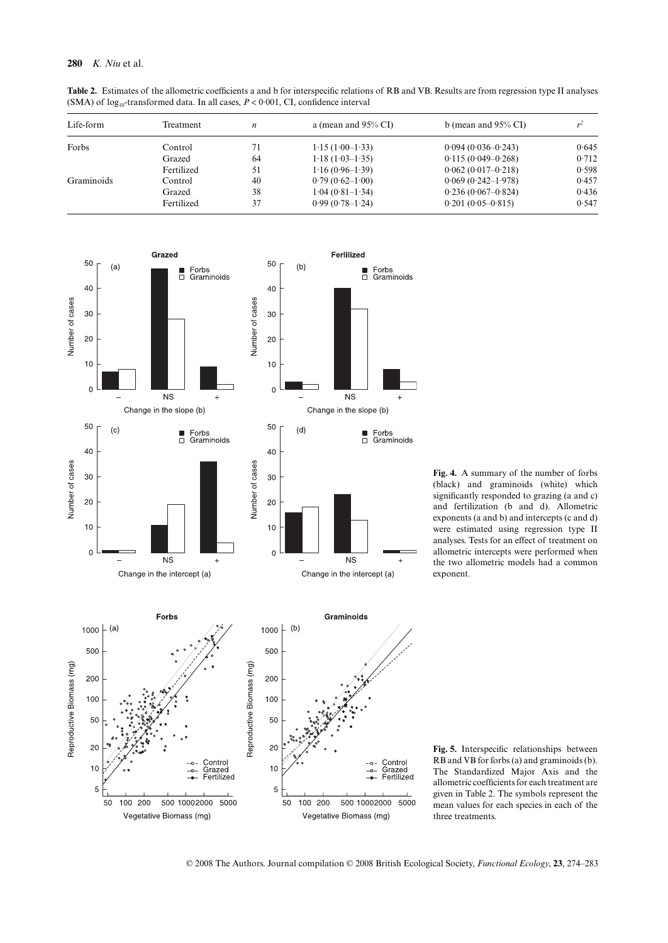## **280** *K. Niu* et al.

**Table 2.** Estimates of the allometric coefficients a and b for interspecific relations of RB and VB. Results are from regression type II analyses (SMA) of  $log_{10}$ -transformed data. In all cases,  $P < 0.001$ , CI, confidence interval

| Life-form  | Treatment  | n  | a (mean and $95\%$ CI) | b (mean and $95\%$ CI) |       |
|------------|------------|----|------------------------|------------------------|-------|
| Forbs      | Control    | 71 | $1.15(1.00-1.33)$      | $0.094(0.036 - 0.243)$ | 0.645 |
|            | Grazed     | 64 | $1.18(1.03-1.35)$      | $0.115(0.049 - 0.268)$ | 0.712 |
|            | Fertilized | 51 | $1.16(0.96-1.39)$      | $0.062(0.017-0.218)$   | 0.598 |
| Graminoids | Control    | 40 | $0.79(0.62 - 1.00)$    | $0.069(0.242 - 1.978)$ | 0.457 |
|            | Grazed     | 38 | $1.04(0.81-1.34)$      | $0.236(0.067-0.824)$   | 0.436 |
|            | Fertilized | 37 | $0.99(0.78-1.24)$      | $0.201(0.05-0.815)$    | 0.547 |



**Fig. 4.** A summary of the number of forbs (black) and graminoids (white) which significantly responded to grazing (a and c) and fertilization (b and d). Allometric exponents (a and b) and intercepts (c and d) were estimated using regression type II analyses. Tests for an effect of treatment on allometric intercepts were performed when the two allometric models had a common exponent.

**Fig. 5.** Interspecific relationships between RB and VB for forbs (a) and graminoids (b). The Standardized Major Axis and the allometric coefficients for each treatment are given in Table 2. The symbols represent the mean values for each species in each of the three treatments.

© 2008 The Authors. Journal compilation © 2008 British Ecological Society, *Functional Ecology*, **23**, 274–283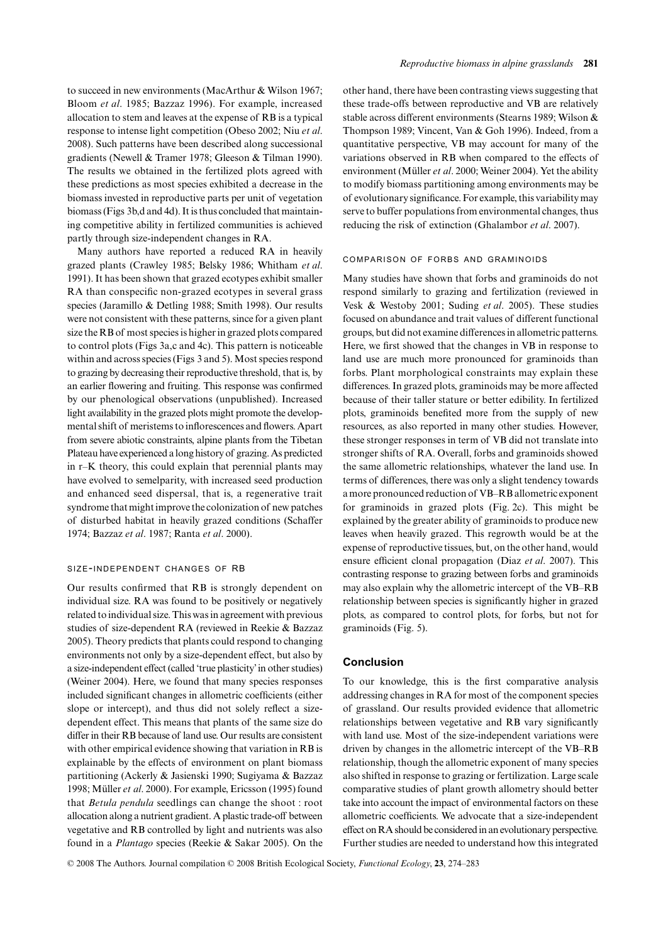to succeed in new environments (MacArthur & Wilson 1967; Bloom *et al*. 1985; Bazzaz 1996). For example, increased allocation to stem and leaves at the expense of RB is a typical response to intense light competition (Obeso 2002; Niu *et al*. 2008). Such patterns have been described along successional gradients (Newell & Tramer 1978; Gleeson & Tilman 1990). The results we obtained in the fertilized plots agreed with these predictions as most species exhibited a decrease in the biomass invested in reproductive parts per unit of vegetation biomass (Figs 3b,d and 4d). It is thus concluded that maintaining competitive ability in fertilized communities is achieved partly through size-independent changes in RA.

Many authors have reported a reduced RA in heavily grazed plants (Crawley 1985; Belsky 1986; Whitham *et al*. 1991). It has been shown that grazed ecotypes exhibit smaller RA than conspecific non-grazed ecotypes in several grass species (Jaramillo & Detling 1988; Smith 1998). Our results were not consistent with these patterns, since for a given plant size the RB of most species is higher in grazed plots compared to control plots (Figs 3a,c and 4c). This pattern is noticeable within and across species (Figs 3 and 5). Most species respond to grazing by decreasing their reproductive threshold, that is, by an earlier flowering and fruiting. This response was confirmed by our phenological observations (unpublished). Increased light availability in the grazed plots might promote the developmental shift of meristems to inflorescences and flowers. Apart from severe abiotic constraints, alpine plants from the Tibetan Plateau have experienced a long history of grazing. As predicted in r–K theory, this could explain that perennial plants may have evolved to semelparity, with increased seed production and enhanced seed dispersal, that is, a regenerative trait syndrome that might improve the colonization of new patches of disturbed habitat in heavily grazed conditions (Schaffer 1974; Bazzaz *et al*. 1987; Ranta *et al*. 2000).

#### SIZE-INDEPENDENT CHANGES OF RB

Our results confirmed that RB is strongly dependent on individual size. RA was found to be positively or negatively related to individual size. This was in agreement with previous studies of size-dependent RA (reviewed in Reekie & Bazzaz 2005). Theory predicts that plants could respond to changing environments not only by a size-dependent effect, but also by a size-independent effect (called 'true plasticity' in other studies) (Weiner 2004). Here, we found that many species responses included significant changes in allometric coefficients (either slope or intercept), and thus did not solely reflect a sizedependent effect. This means that plants of the same size do differ in their RB because of land use. Our results are consistent with other empirical evidence showing that variation in RB is explainable by the effects of environment on plant biomass partitioning (Ackerly & Jasienski 1990; Sugiyama & Bazzaz 1998; Müller *et al*. 2000). For example, Ericsson (1995) found that *Betula pendula* seedlings can change the shoot : root allocation along a nutrient gradient. A plastic trade-off between vegetative and RB controlled by light and nutrients was also found in a *Plantago* species (Reekie & Sakar 2005). On the

other hand, there have been contrasting views suggesting that these trade-offs between reproductive and VB are relatively stable across different environments (Stearns 1989; Wilson & Thompson 1989; Vincent, Van & Goh 1996). Indeed, from a quantitative perspective, VB may account for many of the variations observed in RB when compared to the effects of environment (Müller *et al*. 2000; Weiner 2004). Yet the ability to modify biomass partitioning among environments may be of evolutionary significance. For example, this variability may serve to buffer populations from environmental changes, thus reducing the risk of extinction (Ghalambor *et al*. 2007).

#### COMPARISON OF FORBS AND GRAMINOIDS

Many studies have shown that forbs and graminoids do not respond similarly to grazing and fertilization (reviewed in Vesk & Westoby 2001; Suding *et al*. 2005). These studies focused on abundance and trait values of different functional groups, but did not examine differences in allometric patterns. Here, we first showed that the changes in VB in response to land use are much more pronounced for graminoids than forbs. Plant morphological constraints may explain these differences. In grazed plots, graminoids may be more affected because of their taller stature or better edibility. In fertilized plots, graminoids benefited more from the supply of new resources, as also reported in many other studies. However, these stronger responses in term of VB did not translate into stronger shifts of RA. Overall, forbs and graminoids showed the same allometric relationships, whatever the land use. In terms of differences, there was only a slight tendency towards a more pronounced reduction of VB–RB allometric exponent for graminoids in grazed plots (Fig. 2c). This might be explained by the greater ability of graminoids to produce new leaves when heavily grazed. This regrowth would be at the expense of reproductive tissues, but, on the other hand, would ensure efficient clonal propagation (Diaz *et al*. 2007). This contrasting response to grazing between forbs and graminoids may also explain why the allometric intercept of the VB–RB relationship between species is significantly higher in grazed plots, as compared to control plots, for forbs, but not for graminoids (Fig. 5).

#### **Conclusion**

To our knowledge, this is the first comparative analysis addressing changes in RA for most of the component species of grassland. Our results provided evidence that allometric relationships between vegetative and RB vary significantly with land use. Most of the size-independent variations were driven by changes in the allometric intercept of the VB–RB relationship, though the allometric exponent of many species also shifted in response to grazing or fertilization. Large scale comparative studies of plant growth allometry should better take into account the impact of environmental factors on these allometric coefficients. We advocate that a size-independent effect on RA should be considered in an evolutionary perspective. Further studies are needed to understand how this integrated

© 2008 The Authors. Journal compilation © 2008 British Ecological Society, *Functional Ecology*, **23**, 274–283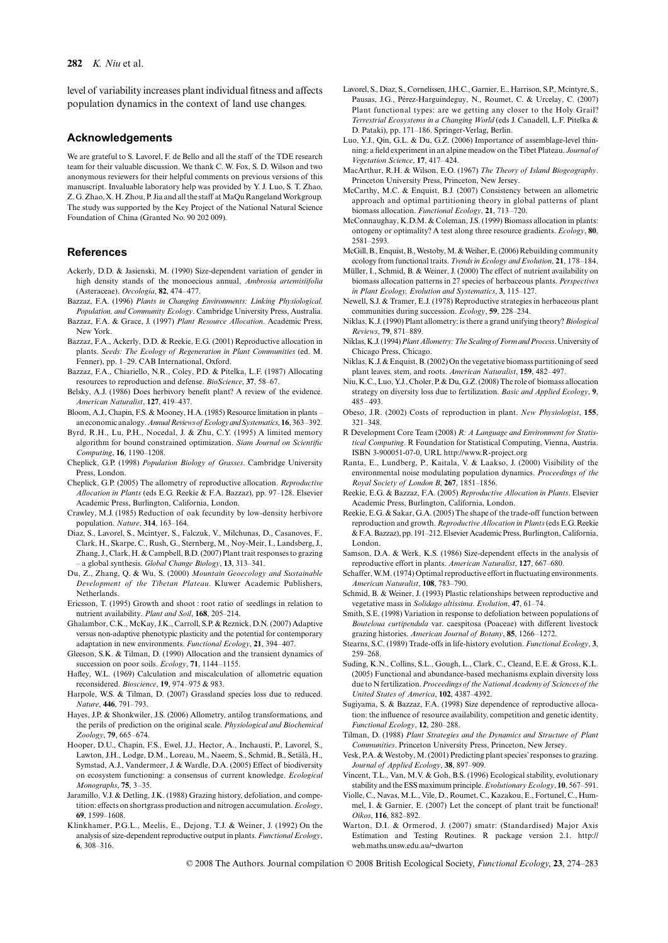#### **282** *K. Niu* et al.

level of variability increases plant individual fitness and affects population dynamics in the context of land use changes.

## **Acknowledgements**

We are grateful to S. Lavorel, F. de Bello and all the staff of the TDE research team for their valuable discussion. We thank C. W. Fox, S. D. Wilson and two anonymous reviewers for their helpful comments on previous versions of this manuscript. Invaluable laboratory help was provided by Y. J. Luo, S. T. Zhao, Z. G. Zhao, X. H. Zhou, P. Jia and all the staff at MaQu Rangeland Workgroup. The study was supported by the Key Project of the National Natural Science Foundation of China (Granted No. 90 202 009).

## **References**

- Ackerly, D.D. & Jasienski, M. (1990) Size-dependent variation of gender in high density stands of the monoecious annual, *Ambrosia artemisiifolia* (Asteraceae). *Oecologia*, **82**, 474–477.
- Bazzaz, F.A. (1996) *Plants in Changing Environments: Linking Physiological, Population, and Community Ecology*. Cambridge University Press, Australia. Bazzaz, F.A. & Grace, J. (1997) *Plant Resource Allocation*. Academic Press,
- New York. Bazzaz, F.A., Ackerly, D.D. & Reekie, E.G. (2001) Reproductive allocation in
- plants. *Seeds: The Ecology of Regeneration in Plant Communities* (ed. M. Fenner), pp. 1–29. CAB International, Oxford.
- Bazzaz, F.A., Chiariello, N.R., Coley, P.D. & Pitelka, L.F. (1987) Allocating resources to reproduction and defense. *BioScience*, **37**, 58–67.
- Belsky, A.J. (1986) Does herbivory benefit plant? A review of the evidence. *American Naturalist*, **127**, 419–437.
- Bloom, A.J., Chapin, F.S. & Mooney, H.A. (1985) Resource limitation in plants an economic analogy. *Annual Reviews of Ecology and Systematics*, **16**, 363–392.
- Byrd, R.H., Lu, P.H., Nocedal, J. & Zhu, C.Y. (1995) A limited memory algorithm for bound constrained optimization. *Siam Journal on Scientific Computing*, **16**, 1190–1208.
- Cheplick, G.P. (1998) *Population Biology of Grasses*. Cambridge University Press, London.
- Cheplick, G.P. (2005) The allometry of reproductive allocation. *Reproductive Allocation in Plants* (eds E.G. Reekie & F.A. Bazzaz), pp. 97–128. Elsevier Academic Press, Burlington, California, London.
- Crawley, M.J. (1985) Reduction of oak fecundity by low-density herbivore population. *Nature*, **314**, 163–164.
- Diaz, S., Lavorel, S., Mcintyer, S., Falczuk, V., Milchunas, D., Casanoves, F., Clark, H., Skarpe, C., Rush, G., Sternberg, M., Noy-Meir, I., Landsberg, J., Zhang, J., Clark, H. & Campbell, B.D. (2007) Plant trait responses to grazing – a global synthesis. *Global Change Biology*, **13**, 313–341.
- Du, Z., Zhang, Q. & Wu, S. (2000) *Mountain Geoecology and Sustainable Development of the Tibetan Plateau*. Kluwer Academic Publishers, Netherlands.
- Ericsson, T. (1995) Growth and shoot : root ratio of seedlings in relation to nutrient availability. *Plant and Soil*, **168**, 205–214.
- Ghalambor, C.K., McKay, J.K., Carroll, S.P. & Reznick, D.N. (2007) Adaptive versus non-adaptive phenotypic plasticity and the potential for contemporary adaptation in new environments. *Functional Ecology*, **21**, 394–407.
- Gleeson, S.K. & Tilman, D. (1990) Allocation and the transient dynamics of succession on poor soils. *Ecology*, **71**, 1144–1155.
- Hafley, W.L. (1969) Calculation and miscalculation of allometric equation reconsidered. *Bioscience*, **19**, 974–975 & 983.
- Harpole, W.S. & Tilman, D. (2007) Grassland species loss due to reduced. *Nature*, **446**, 791–793.
- Hayes, J.P. & Shonkwiler, J.S. (2006) Allometry, antilog transformations, and the perils of prediction on the original scale. *Physiological and Biochemical Zoology*, **79**, 665–674.
- Hooper, D.U., Chapin, F.S., Ewel, J.J., Hector, A., Inchausti, P., Lavorel, S., Lawton, J.H., Lodge, D.M., Loreau, M., Naeem, S., Schmid, B., Setälä, H., Symstad, A.J., Vandermeer, J. & Wardle, D.A. (2005) Effect of biodiversity on ecosystem functioning: a consensus of current knowledge. *Ecological Monographs*, **75**, 3–35.
- Jaramillo, V.J. & Detling, J.K. (1988) Grazing history, defoliation, and competition: effects on shortgrass production and nitrogen accumulation. *Ecology*, **69**, 1599–1608.
- Klinkhamer, P.G.L., Meelis, E., Dejong, T.J. & Weiner, J. (1992) On the analysis of size-dependent reproductive output in plants. *Functional Ecology*, **6**, 308–316.
- Lavorel, S., Diaz, S., Cornelissen, J.H.C., Garnier, E., Harrison, S.P., Mcintyre, S., Pausas, J.G., Pérez-Harguindeguy, N., Roumet, C. & Urcelay, C. (2007) Plant functional types: are we getting any closer to the Holy Grail? *Terrestrial Ecosystems in a Changing World* (eds J. Canadell, L.F. Pitelka & D. Pataki), pp. 171–186. Springer-Verlag, Berlin.
- Luo, Y.J., Qin, G.L. & Du, G.Z. (2006) Importance of assemblage-level thinning: a field experiment in an alpine meadow on the Tibet Plateau. *Journal of Vegetation Science*, **17**, 417–424.
- MacArthur, R.H. & Wilson, E.O. (1967) *The Theory of Island Biogeography*. Princeton University Press, Princeton, New Jersey.
- McCarthy, M.C. & Enquist, B.J. (2007) Consistency between an allometric approach and optimal partitioning theory in global patterns of plant biomass allocation. *Functional Ecology*, **21**, 713–720.
- McConnaughay, K.D.M. & Coleman, J.S. (1999) Biomass allocation in plants: ontogeny or optimality? A test along three resource gradients. *Ecology*, **80**, 2581–2593.
- McGill, B., Enquist, B., Westoby, M. & Weiher, E. (2006) Rebuilding community ecology from functional traits. *Trends in Ecology and Evolution*, **21**, 178–184.
- Müller, I., Schmid, B. & Weiner, J. (2000) The effect of nutrient availability on biomass allocation patterns in 27 species of herbaceous plants. *Perspectives in Plant Ecology, Evolution and Systematics*, **3**, 115–127.
- Newell, S.J. & Tramer, E.J. (1978) Reproductive strategies in herbaceous plant communities during succession. *Ecology*, **59**, 228–234.
- Niklas, K.J. (1990) Plant allometry: is there a grand unifying theory? *Biological Reviews*, **79**, 871–889.
- Niklas, K.J. (1994) *Plant Allometry: The Scaling of Form and Process*. University of Chicago Press, Chicago.
- Niklas, K.J. & Enquist, B. (2002) On the vegetative biomass partitioning of seed plant leaves, stem, and roots. *American Naturalist*, **159**, 482–497.
- Niu, K.C., Luo, Y.J., Choler, P. & Du, G.Z. (2008) The role of biomass allocation strategy on diversity loss due to fertilization. *Basic and Applied Ecology*, **9**, 485–493.
- Obeso, J.R. (2002) Costs of reproduction in plant. *New Physiologist*, **155**, 321–348.
- R Development Core Team (2008) *R: A Language and Environment for Statistical Computing*. R Foundation for Statistical Computing, Vienna, Austria. ISBN 3-900051-07-0, URL <http://www.R-project.org>
- Ranta, E., Lundberg, P., Kaitala, V. & Laakso, J. (2000) Visibility of the environmental noise modulating population dynamics. *Proceedings of the Royal Society of London B*, **267**, 1851–1856.
- Reekie, E.G. & Bazzaz, F.A. (2005) *Reproductive Allocation in Plants*. Elsevier Academic Press, Burlington, California, London.
- Reekie, E.G. & Sakar, G.A. (2005) The shape of the trade-off function between reproduction and growth. *Reproductive Allocation in Plants* (eds E.G. Reekie & F.A. Bazzaz), pp. 191–212. Elsevier Academic Press, Burlington, California, London.
- Samson, D.A. & Werk, K.S. (1986) Size-dependent effects in the analysis of reproductive effort in plants. *American Naturalist*, **127**, 667–680.
- Schaffer, W.M. (1974) Optimal reproductive effort in fluctuating environments. *American Naturalist*, **108**, 783–790.
- Schmid, B. & Weiner, J. (1993) Plastic relationships between reproductive and vegetative mass in *Solidago altissima*. *Evolution*, **47**, 61–74.
- Smith, S.E. (1998) Variation in response to defoliation between populations of *Bouteloua curtipendula* var. caespitosa (Poaceae) with different livestock grazing histories. *American Journal of Botany*, **85**, 1266–1272.
- Stearns, S.C. (1989) Trade-offs in life-history evolution. *Functional Ecology*, **3**, 259–268.
- Suding, K.N., Collins, S.L., Gough, L., Clark, C., Cleand, E.E. & Gross, K.L. (2005) Functional and abundance-based mechanisms explain diversity loss due to N fertilization. *Proceedings of the National Academy of Sciences of the United States of America*, **102**, 4387–4392.
- Sugiyama, S. & Bazzaz, F.A. (1998) Size dependence of reproductive allocation: the influence of resource availability, competition and genetic identity. *Functional Ecology*, **12**, 280–288.
- Tilman, D. (1988) *Plant Strategies and the Dynamics and Structure of Plant Communities*. Princeton University Press, Princeton, New Jersey.
- Vesk, P.A. & Westoby, M. (2001) Predicting plant species' responses to grazing. *Journal of Applied Ecology*, **38**, 897–909.
- Vincent, T.L., Van, M.V. & Goh, B.S. (1996) Ecological stability, evolutionary stability and the ESS maximum principle. *Evolutionary Ecology*, **10**, 567–591.
- Violle, C., Navas, M.L., Vile, D., Roumet, C., Kazakou, E., Fortunel, C., Hummel, I. & Garnier, E. (2007) Let the concept of plant trait be functional! *Oikos*, **116**, 882–892.
- Warton, D.I. & Ormerod, J. (2007) smatr: (Standardised) Major Axis [Estimation and Testing Routines. R package version 2.1. http://](http://web.maths.unsw.edu.au/~dwarton) web.maths.unsw.edu.au/~dwarton